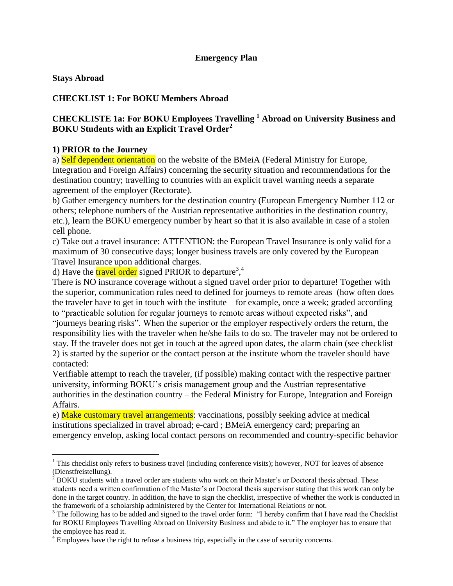### **Emergency Plan**

**Stays Abroad**

 $\overline{a}$ 

### **CHECKLIST 1: For BOKU Members Abroad**

## **CHECKLISTE 1a: For BOKU Employees Travelling <sup>1</sup> Abroad on University Business and BOKU Students with an Explicit Travel Order<sup>2</sup>**

#### **1) PRIOR to the Journey**

a) Self dependent orientation on the website of the BMeiA (Federal Ministry for Europe, Integration and Foreign Affairs) concerning the security situation and recommendations for the destination country; travelling to countries with an explicit travel warning needs a separate agreement of the employer (Rectorate).

b) Gather emergency numbers for the destination country (European Emergency Number 112 or others; telephone numbers of the Austrian representative authorities in the destination country, etc.), learn the BOKU emergency number by heart so that it is also available in case of a stolen cell phone.

c) Take out a travel insurance: ATTENTION: the European Travel Insurance is only valid for a maximum of 30 consecutive days; longer business travels are only covered by the European Travel Insurance upon additional charges.

d) Have the **travel order** signed PRIOR to departure<sup>3</sup>,<sup>4</sup>

There is NO insurance coverage without a signed travel order prior to departure! Together with the superior, communication rules need to defined for journeys to remote areas (how often does the traveler have to get in touch with the institute – for example, once a week; graded according to "practicable solution for regular journeys to remote areas without expected risks", and "journeys bearing risks". When the superior or the employer respectively orders the return, the responsibility lies with the traveler when he/she fails to do so. The traveler may not be ordered to stay. If the traveler does not get in touch at the agreed upon dates, the alarm chain (see checklist 2) is started by the superior or the contact person at the institute whom the traveler should have contacted:

Verifiable attempt to reach the traveler, (if possible) making contact with the respective partner university, informing BOKU's crisis management group and the Austrian representative authorities in the destination country – the Federal Ministry for Europe, Integration and Foreign Affairs.

e) Make customary travel arrangements: vaccinations, possibly seeking advice at medical institutions specialized in travel abroad; e-card ; BMeiA emergency card; preparing an emergency envelop, asking local contact persons on recommended and country-specific behavior

 $1$ <sup>1</sup> This checklist only refers to business travel (including conference visits); however, NOT for leaves of absence (Dienstfreistellung).

 $2^{2}$  BOKU students with a travel order are students who work on their Master's or Doctoral thesis abroad. These students need a written confirmation of the Master's or Doctoral thesis supervisor stating that this work can only be done in the target country. In addition, the have to sign the checklist, irrespective of whether the work is conducted in the framework of a scholarship administered by the Center for International Relations or not.

 $3$  The following has to be added and signed to the travel order form: "I hereby confirm that I have read the Checklist for BOKU Employees Travelling Abroad on University Business and abide to it." The employer has to ensure that the employee has read it.

<sup>&</sup>lt;sup>4</sup> Employees have the right to refuse a business trip, especially in the case of security concerns.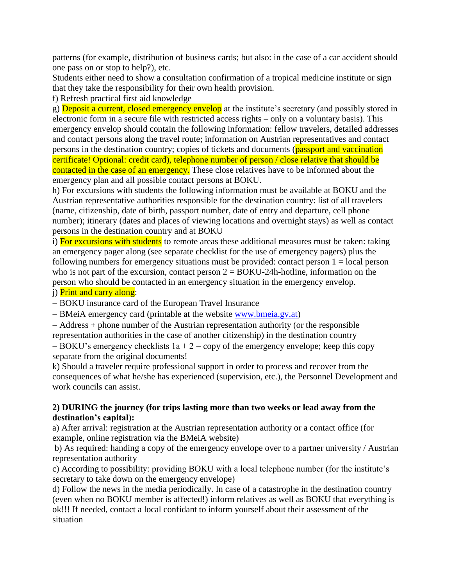patterns (for example, distribution of business cards; but also: in the case of a car accident should one pass on or stop to help?), etc.

Students either need to show a consultation confirmation of a tropical medicine institute or sign that they take the responsibility for their own health provision.

f) Refresh practical first aid knowledge

g) Deposit a current, closed emergency envelop at the institute's secretary (and possibly stored in electronic form in a secure file with restricted access rights – only on a voluntary basis). This emergency envelop should contain the following information: fellow travelers, detailed addresses and contact persons along the travel route; information on Austrian representatives and contact persons in the destination country; copies of tickets and documents (passport and vaccination certificate! Optional: credit card), telephone number of person / close relative that should be contacted in the case of an emergency. These close relatives have to be informed about the emergency plan and all possible contact persons at BOKU.

h) For excursions with students the following information must be available at BOKU and the Austrian representative authorities responsible for the destination country: list of all travelers (name, citizenship, date of birth, passport number, date of entry and departure, cell phone number); itinerary (dates and places of viewing locations and overnight stays) as well as contact persons in the destination country and at BOKU

i) For excursions with students to remote areas these additional measures must be taken: taking an emergency pager along (see separate checklist for the use of emergency pagers) plus the following numbers for emergency situations must be provided: contact person  $1 = local person$ who is not part of the excursion, contact person  $2 = BOKU-24h$ -hotline, information on the person who should be contacted in an emergency situation in the emergency envelop. j) Print and carry along:

- BOKU insurance card of the European Travel Insurance

- BMeiA emergency card (printable at the website [www.bmeia.gv.at\)](http://www.bmeia.gv.at/)

 Address + phone number of the Austrian representation authority (or the responsible representation authorities in the case of another citizenship) in the destination country

 $-BOKU$ 's emergency checklists  $1a + 2 - copy$  of the emergency envelope; keep this copy separate from the original documents!

k) Should a traveler require professional support in order to process and recover from the consequences of what he/she has experienced (supervision, etc.), the Personnel Development and work councils can assist.

### **2) DURING the journey (for trips lasting more than two weeks or lead away from the destination's capital):**

a) After arrival: registration at the Austrian representation authority or a contact office (for example, online registration via the BMeiA website)

b) As required: handing a copy of the emergency envelope over to a partner university / Austrian representation authority

c) According to possibility: providing BOKU with a local telephone number (for the institute's secretary to take down on the emergency envelope)

d) Follow the news in the media periodically. In case of a catastrophe in the destination country (even when no BOKU member is affected!) inform relatives as well as BOKU that everything is ok!!! If needed, contact a local confidant to inform yourself about their assessment of the situation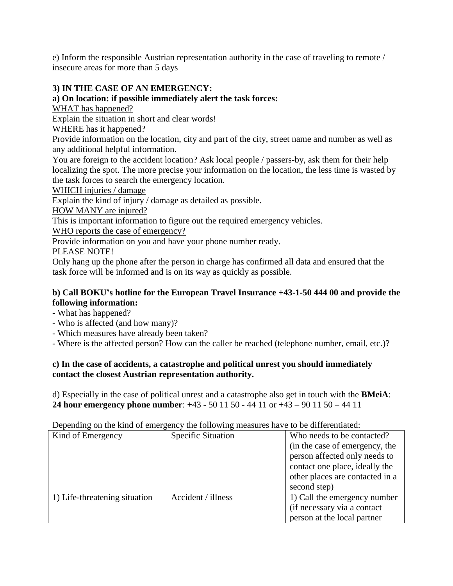e) Inform the responsible Austrian representation authority in the case of traveling to remote / insecure areas for more than 5 days

# **3) IN THE CASE OF AN EMERGENCY:**

## **a) On location: if possible immediately alert the task forces:**

WHAT has happened?

Explain the situation in short and clear words!

WHERE has it happened?

Provide information on the location, city and part of the city, street name and number as well as any additional helpful information.

You are foreign to the accident location? Ask local people / passers-by, ask them for their help localizing the spot. The more precise your information on the location, the less time is wasted by the task forces to search the emergency location.

WHICH injuries / damage

Explain the kind of injury / damage as detailed as possible.

HOW MANY are injured?

This is important information to figure out the required emergency vehicles.

WHO reports the case of emergency?

Provide information on you and have your phone number ready.

PLEASE NOTE!

Only hang up the phone after the person in charge has confirmed all data and ensured that the task force will be informed and is on its way as quickly as possible.

## **b) Call BOKU's hotline for the European Travel Insurance +43-1-50 444 00 and provide the following information:**

- What has happened?

- Who is affected (and how many)?
- Which measures have already been taken?

- Where is the affected person? How can the caller be reached (telephone number, email, etc.)?

## **c) In the case of accidents, a catastrophe and political unrest you should immediately contact the closest Austrian representation authority.**

d) Especially in the case of political unrest and a catastrophe also get in touch with the **BMeiA**: **24 hour emergency phone number**: +43 - 50 11 50 - 44 11 or +43 – 90 11 50 – 44 11

Depending on the kind of emergency the following measures have to be differentiated:

| Kind of Emergency             | <b>Specific Situation</b> | Who needs to be contacted?      |
|-------------------------------|---------------------------|---------------------------------|
|                               |                           | (in the case of emergency, the  |
|                               |                           | person affected only needs to   |
|                               |                           | contact one place, ideally the  |
|                               |                           | other places are contacted in a |
|                               |                           | second step)                    |
| 1) Life-threatening situation | Accident / illness        | 1) Call the emergency number    |
|                               |                           | (if necessary via a contact     |
|                               |                           | person at the local partner     |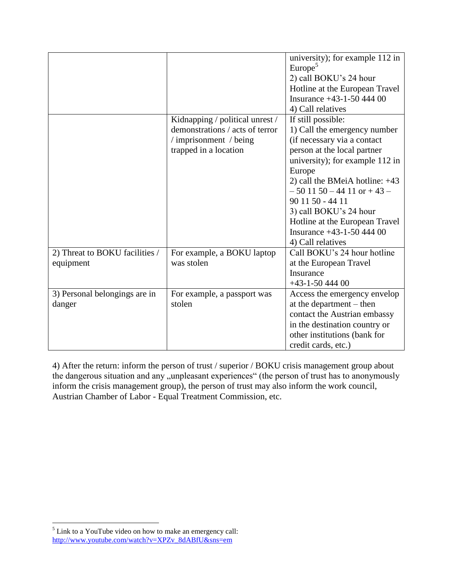|                                             |                                                                                                                       | university); for example 112 in<br>Europe <sup>5</sup><br>2) call BOKU's 24 hour<br>Hotline at the European Travel<br>Insurance $+43-1-50$ 444 00<br>4) Call relatives                                                                                                                                                                                                     |
|---------------------------------------------|-----------------------------------------------------------------------------------------------------------------------|----------------------------------------------------------------------------------------------------------------------------------------------------------------------------------------------------------------------------------------------------------------------------------------------------------------------------------------------------------------------------|
|                                             | Kidnapping / political unrest /<br>demonstrations / acts of terror<br>/ imprisonment / being<br>trapped in a location | If still possible:<br>1) Call the emergency number<br>(if necessary via a contact<br>person at the local partner<br>university); for example 112 in<br>Europe<br>2) call the BMeiA hotline: $+43$<br>$-50$ 11 50 $-44$ 11 or $+43$ $-$<br>90 11 50 - 44 11<br>3) call BOKU's 24 hour<br>Hotline at the European Travel<br>Insurance $+43-1-50$ 444 00<br>4) Call relatives |
| 2) Threat to BOKU facilities /<br>equipment | For example, a BOKU laptop<br>was stolen                                                                              | Call BOKU's 24 hour hotline<br>at the European Travel<br>Insurance<br>$+43-1-5044400$                                                                                                                                                                                                                                                                                      |
| 3) Personal belongings are in<br>danger     | For example, a passport was<br>stolen                                                                                 | Access the emergency envelop<br>at the department $-$ then<br>contact the Austrian embassy<br>in the destination country or<br>other institutions (bank for<br>credit cards, etc.)                                                                                                                                                                                         |

4) After the return: inform the person of trust / superior / BOKU crisis management group about the dangerous situation and any "unpleasant experiences" (the person of trust has to anonymously inform the crisis management group), the person of trust may also inform the work council, Austrian Chamber of Labor - Equal Treatment Commission, etc.

 $\overline{a}$ 

 $<sup>5</sup>$  Link to a YouTube video on how to make an emergency call:</sup> [http://www.youtube.com/watch?v=XPZv\\_8dABfU&sns=em](http://www.youtube.com/watch?v=XPZv_8dABfU&sns=em)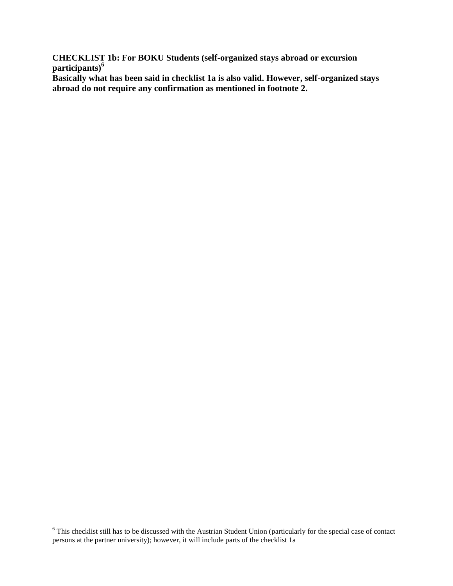**CHECKLIST 1b: For BOKU Students (self-organized stays abroad or excursion participants)<sup>6</sup>**

**Basically what has been said in checklist 1a is also valid. However, self-organized stays abroad do not require any confirmation as mentioned in footnote 2.**

 $\overline{a}$ 

 $6$  This checklist still has to be discussed with the Austrian Student Union (particularly for the special case of contact persons at the partner university); however, it will include parts of the checklist 1a